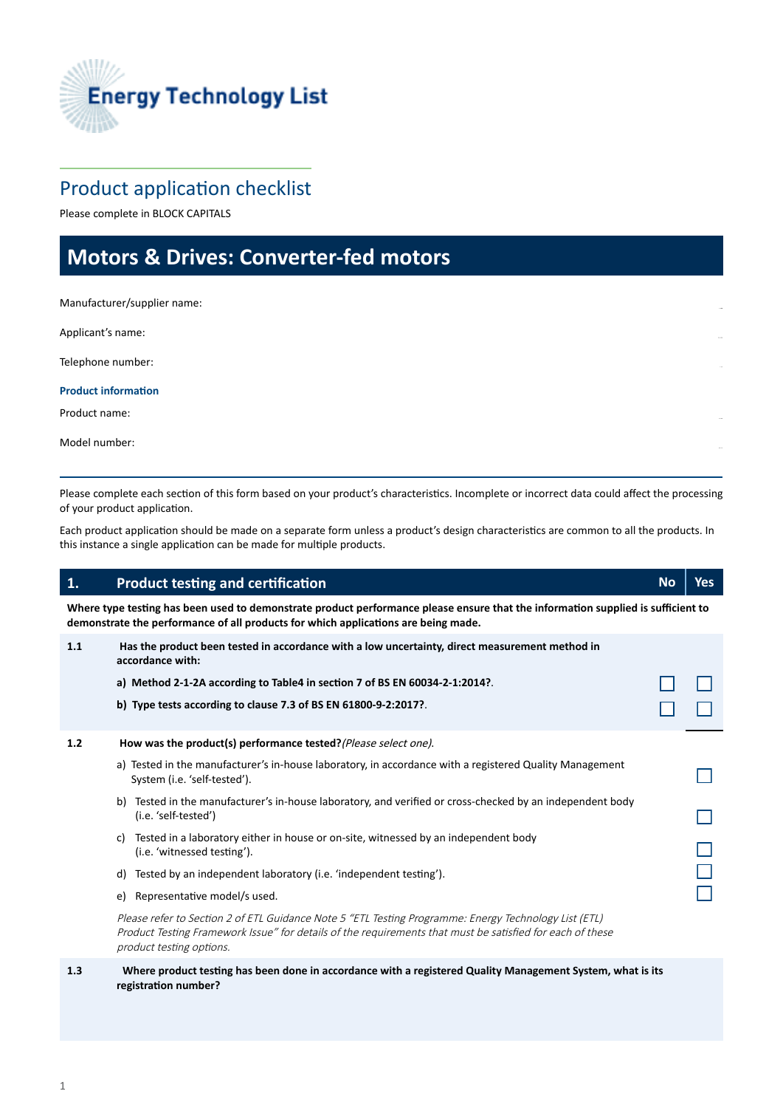

# Product application checklist

Please complete in BLOCK CAPITALS

# **Motors & Drives: Converter-fed motors**

Manufacturer/supplier name:

Applicant's name:

Telephone number:

**Product information** 

Product name:

Model number:

Please complete each section of this form based on your product's characteristics. Incomplete or incorrect data could affect the processing of your product application.

Each product application should be made on a separate form unless a product's design characteristics are common to all the products. In this instance a single application can be made for multiple products.

### b) Tested in the manufacturer's in-house laboratory, and verified or cross-checked by an independent body d) Tested by an independent laboratory (i.e. 'independent testing'). e) Representative model/s used. **1. Product testing and certification** *No* **<b>***No No No No No No* **Where type testing has been used to demonstrate product performance please ensure that the information supplied is sufficient to demonstrate the performance of all products for which applications are being made. 1.1 Has the product been tested in accordance with a low uncertainty, direct measurement method in accordance with: a) Method 2-1-2A according to Table4 in section 7 of BS EN 60034-2-1:2014?**. **b) Type tests according to clause 7.3 of BS EN 61800-9-2:2017?**. 1.2 **How was the product(s) performance tested?** (Please select one). a) Tested in the manufacturer's in-house laboratory, in accordance with a registered Quality Management System (i.e. 'self-tested'). (i.e. 'self-tested') c) Tested in a laboratory either in house or on-site, witnessed by an independent body (i.e. 'witnessed testing'). Please refer to Section 2 of ETL Guidance Note 5 "ETL Testing Programme: Energy Technology List (ETL) Product Testing Framework Issue" for details of the requirements that must be satisfied for each of these product testing options.

**1.3 Where product testing has been done in accordance with a registered Quality Management System, what is its registration number?**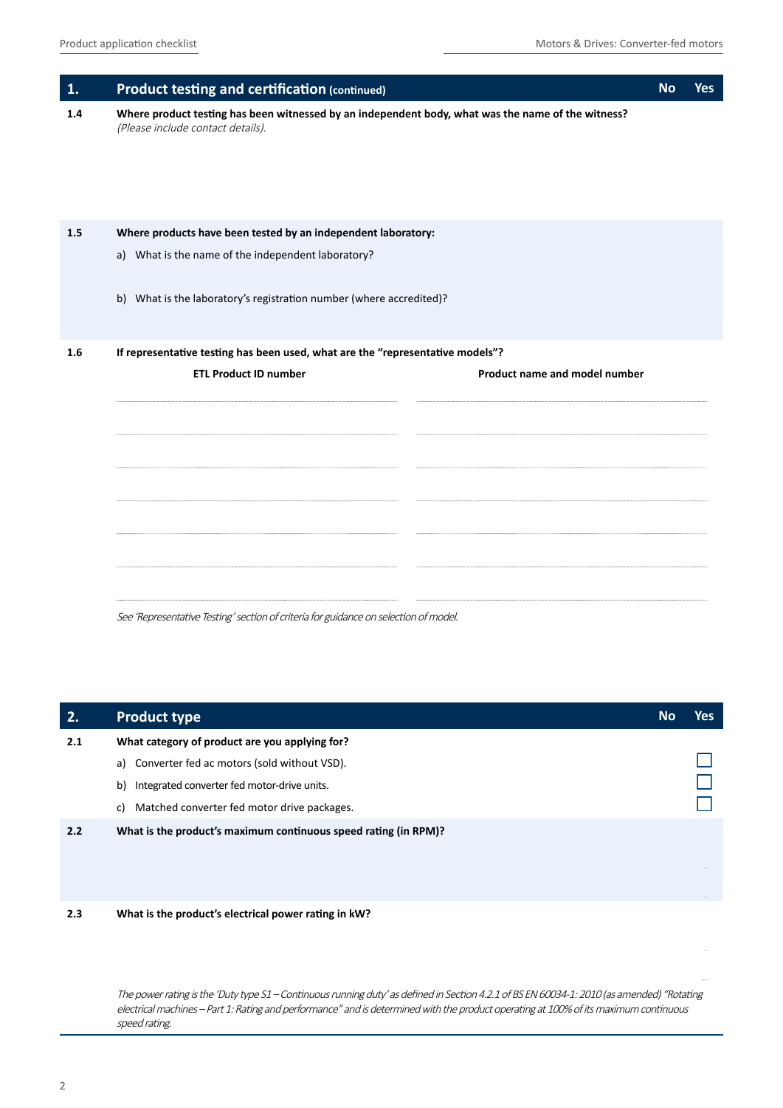| 1.  | <b>Product testing and certification (continued)</b>                                                                                    |  |  |  |  |
|-----|-----------------------------------------------------------------------------------------------------------------------------------------|--|--|--|--|
| 1.4 | Where product testing has been witnessed by an independent body, what was the name of the witness?<br>(Please include contact details). |  |  |  |  |
| 1.5 | Where products have been tested by an independent laboratory:                                                                           |  |  |  |  |
|     | a) What is the name of the independent laboratory?                                                                                      |  |  |  |  |
|     | b) What is the laboratory's registration number (where accredited)?                                                                     |  |  |  |  |
| 1.6 | If representative testing has been used, what are the "representative models"?                                                          |  |  |  |  |
|     | <b>ETL Product ID number</b><br>Product name and model number                                                                           |  |  |  |  |
|     |                                                                                                                                         |  |  |  |  |
|     |                                                                                                                                         |  |  |  |  |
|     |                                                                                                                                         |  |  |  |  |
|     |                                                                                                                                         |  |  |  |  |
|     |                                                                                                                                         |  |  |  |  |
|     |                                                                                                                                         |  |  |  |  |

See 'Representative Testing' section of criteria for guidance on selection of model.

| 2.  | <b>Product type</b>                                             | <b>No</b> | Yes |
|-----|-----------------------------------------------------------------|-----------|-----|
| 2.1 | What category of product are you applying for?                  |           |     |
|     | a) Converter fed ac motors (sold without VSD).                  |           |     |
|     | Integrated converter fed motor-drive units.<br>b)               |           |     |
|     | Matched converter fed motor drive packages.<br>C)               |           |     |
| 2.2 | What is the product's maximum continuous speed rating (in RPM)? |           |     |
| 2.3 | What is the product's electrical power rating in kW?            |           |     |

The power rating is the 'Duty type S1 – Continuous running duty' as defined in Section 4.2.1 of BS EN 60034-1: 2010 (as amended) "Rotating electrical machines – Part 1: Rating and performance" and is determined with the product operating at 100% of its maximum continuous speed rating.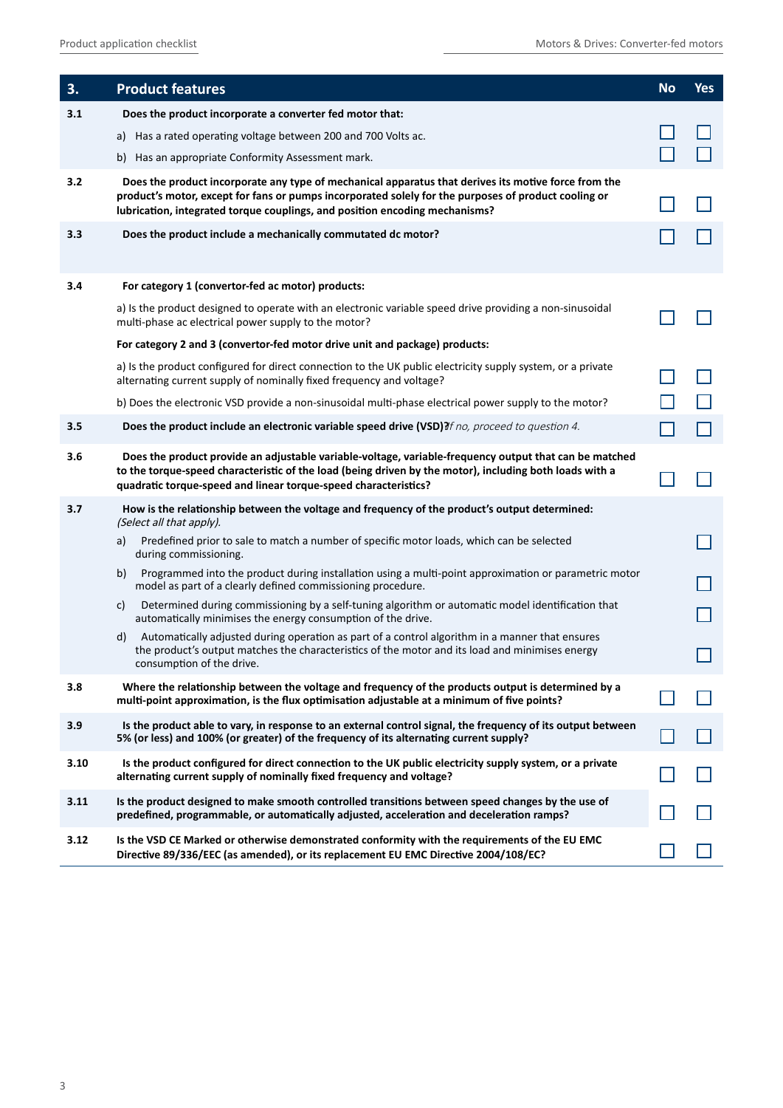| 3.   | <b>Product features</b>                                                                                                                                                                                                                                                                     | <b>No</b> | <b>Yes</b> |
|------|---------------------------------------------------------------------------------------------------------------------------------------------------------------------------------------------------------------------------------------------------------------------------------------------|-----------|------------|
| 3.1  | Does the product incorporate a converter fed motor that:                                                                                                                                                                                                                                    |           |            |
|      | a) Has a rated operating voltage between 200 and 700 Volts ac.                                                                                                                                                                                                                              |           |            |
|      | b) Has an appropriate Conformity Assessment mark.                                                                                                                                                                                                                                           |           |            |
| 3.2  | Does the product incorporate any type of mechanical apparatus that derives its motive force from the<br>product's motor, except for fans or pumps incorporated solely for the purposes of product cooling or<br>lubrication, integrated torque couplings, and position encoding mechanisms? |           |            |
| 3.3  | Does the product include a mechanically commutated dc motor?                                                                                                                                                                                                                                |           |            |
| 3.4  | For category 1 (convertor-fed ac motor) products:                                                                                                                                                                                                                                           |           |            |
|      | a) Is the product designed to operate with an electronic variable speed drive providing a non-sinusoidal<br>multi-phase ac electrical power supply to the motor?                                                                                                                            |           |            |
|      | For category 2 and 3 (convertor-fed motor drive unit and package) products:                                                                                                                                                                                                                 |           |            |
|      | a) Is the product configured for direct connection to the UK public electricity supply system, or a private<br>alternating current supply of nominally fixed frequency and voltage?                                                                                                         |           |            |
|      | b) Does the electronic VSD provide a non-sinusoidal multi-phase electrical power supply to the motor?                                                                                                                                                                                       |           |            |
| 3.5  | Does the product include an electronic variable speed drive (VSD)?f no, proceed to question 4.                                                                                                                                                                                              |           |            |
| 3.6  | Does the product provide an adjustable variable-voltage, variable-frequency output that can be matched<br>to the torque-speed characteristic of the load (being driven by the motor), including both loads with a<br>quadratic torque-speed and linear torque-speed characteristics?        |           |            |
| 3.7  | How is the relationship between the voltage and frequency of the product's output determined:<br>(Select all that apply).                                                                                                                                                                   |           |            |
|      | Predefined prior to sale to match a number of specific motor loads, which can be selected<br>a)<br>during commissioning.                                                                                                                                                                    |           |            |
|      | Programmed into the product during installation using a multi-point approximation or parametric motor<br>b)<br>model as part of a clearly defined commissioning procedure.                                                                                                                  |           |            |
|      | Determined during commissioning by a self-tuning algorithm or automatic model identification that<br>C)<br>automatically minimises the energy consumption of the drive.                                                                                                                     |           |            |
|      | Automatically adjusted during operation as part of a control algorithm in a manner that ensures<br>d)<br>the product's output matches the characteristics of the motor and its load and minimises energy<br>consumption of the drive.                                                       |           |            |
| 3.8  | Where the relationship between the voltage and frequency of the products output is determined by a<br>multi-point approximation, is the flux optimisation adjustable at a minimum of five points?                                                                                           |           |            |
| 3.9  | Is the product able to vary, in response to an external control signal, the frequency of its output between<br>5% (or less) and 100% (or greater) of the frequency of its alternating current supply?                                                                                       |           |            |
| 3.10 | Is the product configured for direct connection to the UK public electricity supply system, or a private<br>alternating current supply of nominally fixed frequency and voltage?                                                                                                            |           |            |
| 3.11 | Is the product designed to make smooth controlled transitions between speed changes by the use of<br>predefined, programmable, or automatically adjusted, acceleration and deceleration ramps?                                                                                              |           |            |
| 3.12 | Is the VSD CE Marked or otherwise demonstrated conformity with the requirements of the EU EMC<br>Directive 89/336/EEC (as amended), or its replacement EU EMC Directive 2004/108/EC?                                                                                                        |           |            |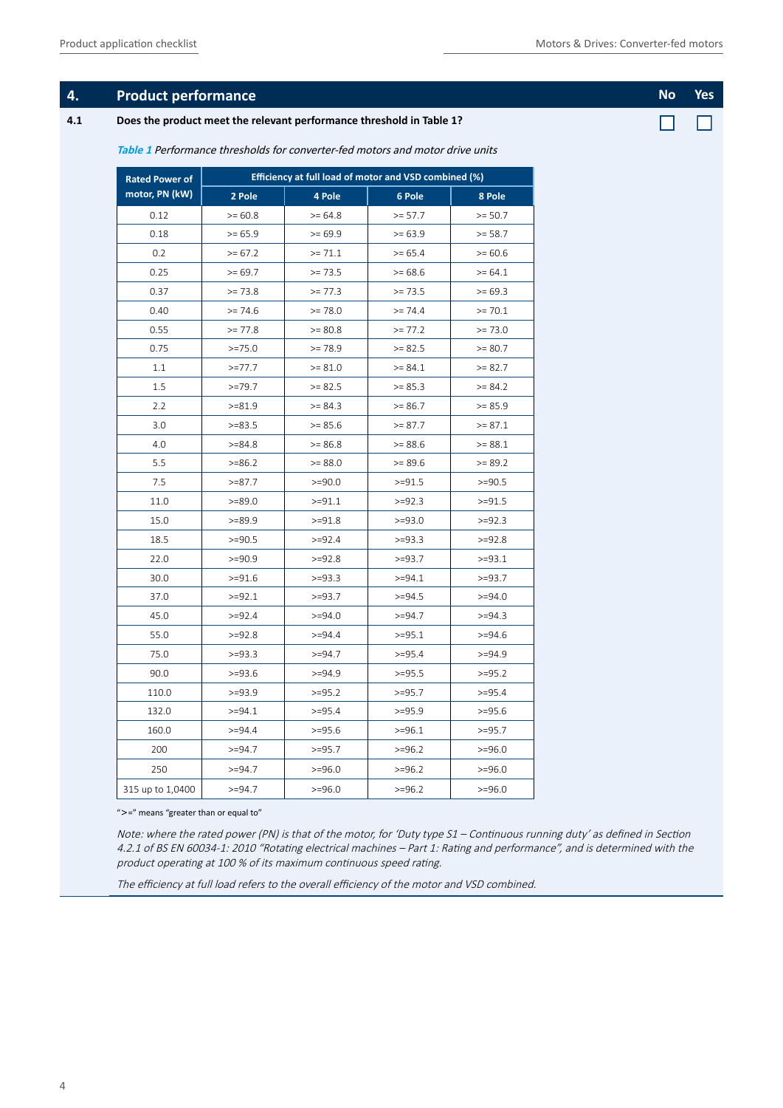#### **1. Product performance No Yes <b>No Yes No Yes Alternative Community** and *No* Yes **No Yes**

#### **4.1 Does the product meet the relevant performance threshold in Table 1?**

П  $\Box$ 

| <b>Rated Power of</b> | Efficiency at full load of motor and VSD combined (%) |           |           |           |  |
|-----------------------|-------------------------------------------------------|-----------|-----------|-----------|--|
| motor, PN (kW)        | 2 Pole                                                | 4 Pole    | 6 Pole    | 8 Pole    |  |
| 0.12                  | $>= 60.8$                                             | $>= 64.8$ | $>= 57.7$ | $>= 50.7$ |  |
| 0.18                  | $>= 65.9$                                             | $>= 69.9$ | $>= 63.9$ | $>= 58.7$ |  |
| 0.2                   | $>= 67.2$                                             | $>= 71.1$ | $>= 65.4$ | $>= 60.6$ |  |
| 0.25                  | $>= 69.7$                                             | $>= 73.5$ | $>= 68.6$ | $>= 64.1$ |  |
| 0.37                  | $>= 73.8$                                             | $>= 77.3$ | $>= 73.5$ | $>= 69.3$ |  |
| 0.40                  | $>= 74.6$                                             | $>= 78.0$ | $>= 74.4$ | $>= 70.1$ |  |
| 0.55                  | $>= 77.8$                                             | $>= 80.8$ | $>= 77.2$ | $>= 73.0$ |  |
| 0.75                  | $>=75.0$                                              | $>= 78.9$ | $>= 82.5$ | $>= 80.7$ |  |
| 1.1                   | $>=77.7$                                              | $>= 81.0$ | $>= 84.1$ | $>= 82.7$ |  |
| 1.5                   | $>=79.7$                                              | $>= 82.5$ | $>= 85.3$ | $>= 84.2$ |  |
| 2.2                   | $>= 81.9$                                             | $>= 84.3$ | $>= 86.7$ | $>= 85.9$ |  |
| 3.0                   | $>=83.5$                                              | $>= 85.6$ | $>= 87.7$ | $>= 87.1$ |  |
| 4.0                   | $>= 84.8$                                             | $>= 86.8$ | $>= 88.6$ | $>= 88.1$ |  |
| 5.5                   | $>= 86.2$                                             | $>= 88.0$ | $>= 89.6$ | $>= 89.2$ |  |
| 7.5                   | $>= 87.7$                                             | $>=$ 90.0 | $>=91.5$  | $>=$ 90.5 |  |
| 11.0                  | $>= 89.0$                                             | $>=91.1$  | $>=$ 92.3 | $>=91.5$  |  |
| 15.0                  | $>= 89.9$                                             | $>=91.8$  | $>=93.0$  | $>=$ 92.3 |  |
| 18.5                  | $>=$ 90.5                                             | $>=$ 92.4 | $>=93.3$  | $>=92.8$  |  |
| 22.0                  | $>=90.9$                                              | $>=92.8$  | $>=93.7$  | $>=93.1$  |  |
| 30.0                  | $>= 91.6$                                             | $>=93.3$  | $>=$ 94.1 | $>=93.7$  |  |
| 37.0                  | $>=$ 92.1                                             | $>=93.7$  | $>=$ 94.5 | $>=$ 94.0 |  |
| 45.0                  | $>=92.4$                                              | $>=94.0$  | $>=$ 94.7 | $>=$ 94.3 |  |
| 55.0                  | $>=92.8$                                              | $>=$ 94.4 | $>=95.1$  | $>=$ 94.6 |  |
| 75.0                  | $>=93.3$                                              | $>=$ 94.7 | $>=95.4$  | $>=94.9$  |  |
| 90.0                  | $>=93.6$                                              | $>=94.9$  | $>=95.5$  | $>=95.2$  |  |
| 110.0                 | $>=93.9$                                              | $>=95.2$  | $>=95.7$  | $>=95.4$  |  |
| 132.0                 | $>=$ 94.1                                             | $>=95.4$  | $>=95.9$  | $>=95.6$  |  |
| 160.0                 | $>=$ 94.4                                             | $>=95.6$  | $>=$ 96.1 | $>=95.7$  |  |
| 200                   | $>=$ 94.7                                             | $>=95.7$  | $>=96.2$  | $>=96.0$  |  |
| 250                   | $>=$ 94.7                                             | $>=96.0$  | $>=96.2$  | $>=96.0$  |  |
| 315 up to 1,0400      | $>= 94.7$                                             | $>=96.0$  | $>=$ 96.2 | $>=96.0$  |  |

**Table 1** Performance thresholds for converter-fed motors and motor drive units 

" $>=$ " means "greater than or equal to"

Note: where the rated power (PN) is that of the motor, for 'Duty type S1 – Continuous running duty' as defined in Section 4.2.1 of BS EN 60034-1: 2010 "Rotating electrical machines – Part 1: Rating and performance", and is determined with the product operating at 100 % of its maximum continuous speed rating.

The efficiency at full load refers to the overall efficiency of the motor and VSD combined.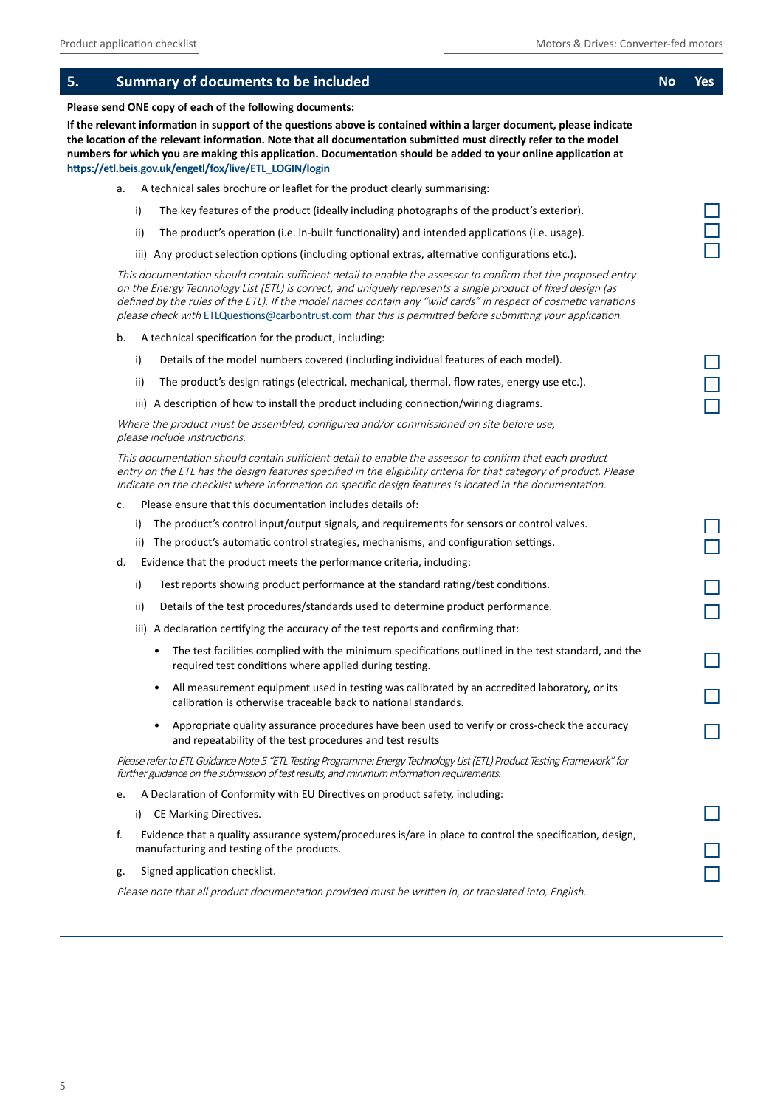| 5. |           | <b>Summary of documents to be included</b>                                                                                                                                                                                                                                                                                                                                                                                                                    | <b>No</b> | <b>Yes</b> |
|----|-----------|---------------------------------------------------------------------------------------------------------------------------------------------------------------------------------------------------------------------------------------------------------------------------------------------------------------------------------------------------------------------------------------------------------------------------------------------------------------|-----------|------------|
|    |           | Please send ONE copy of each of the following documents:                                                                                                                                                                                                                                                                                                                                                                                                      |           |            |
|    |           | If the relevant information in support of the questions above is contained within a larger document, please indicate<br>the location of the relevant information. Note that all documentation submitted must directly refer to the model<br>numbers for which you are making this application. Documentation should be added to your online application at<br>https://etl.beis.gov.uk/engetl/fox/live/ETL_LOGIN/login                                         |           |            |
|    | a.        | A technical sales brochure or leaflet for the product clearly summarising:                                                                                                                                                                                                                                                                                                                                                                                    |           |            |
|    | i)        | The key features of the product (ideally including photographs of the product's exterior).                                                                                                                                                                                                                                                                                                                                                                    |           |            |
|    | ii)       | The product's operation (i.e. in-built functionality) and intended applications (i.e. usage).                                                                                                                                                                                                                                                                                                                                                                 |           |            |
|    |           | iii) Any product selection options (including optional extras, alternative configurations etc.).                                                                                                                                                                                                                                                                                                                                                              |           |            |
|    |           | This documentation should contain sufficient detail to enable the assessor to confirm that the proposed entry<br>on the Energy Technology List (ETL) is correct, and uniquely represents a single product of fixed design (as<br>defined by the rules of the ETL). If the model names contain any "wild cards" in respect of cosmetic variations<br>please check with ETLQuestions@carbontrust.com that this is permitted before submitting your application. |           |            |
|    | b.        | A technical specification for the product, including:                                                                                                                                                                                                                                                                                                                                                                                                         |           |            |
|    | i)        | Details of the model numbers covered (including individual features of each model).                                                                                                                                                                                                                                                                                                                                                                           |           |            |
|    | ii)       | The product's design ratings (electrical, mechanical, thermal, flow rates, energy use etc.).                                                                                                                                                                                                                                                                                                                                                                  |           |            |
|    |           | iii) A description of how to install the product including connection/wiring diagrams.                                                                                                                                                                                                                                                                                                                                                                        |           |            |
|    |           | Where the product must be assembled, configured and/or commissioned on site before use,<br>please include instructions.                                                                                                                                                                                                                                                                                                                                       |           |            |
|    |           | This documentation should contain sufficient detail to enable the assessor to confirm that each product<br>entry on the ETL has the design features specified in the eligibility criteria for that category of product. Please<br>indicate on the checklist where information on specific design features is located in the documentation.                                                                                                                    |           |            |
|    | c.        | Please ensure that this documentation includes details of:                                                                                                                                                                                                                                                                                                                                                                                                    |           |            |
|    | i)        | The product's control input/output signals, and requirements for sensors or control valves.                                                                                                                                                                                                                                                                                                                                                                   |           |            |
|    | ii)       | The product's automatic control strategies, mechanisms, and configuration settings.                                                                                                                                                                                                                                                                                                                                                                           |           |            |
|    | d.        | Evidence that the product meets the performance criteria, including:                                                                                                                                                                                                                                                                                                                                                                                          |           |            |
|    | i)        | Test reports showing product performance at the standard rating/test conditions.                                                                                                                                                                                                                                                                                                                                                                              |           |            |
|    | ii)       | Details of the test procedures/standards used to determine product performance.                                                                                                                                                                                                                                                                                                                                                                               |           |            |
|    |           | iii) A declaration certifying the accuracy of the test reports and confirming that:                                                                                                                                                                                                                                                                                                                                                                           |           |            |
|    |           | • The test facilities complied with the minimum specifications outlined in the test standard, and the<br>required test conditions where applied during testing.                                                                                                                                                                                                                                                                                               |           |            |
|    | ٠         | All measurement equipment used in testing was calibrated by an accredited laboratory, or its<br>calibration is otherwise traceable back to national standards.                                                                                                                                                                                                                                                                                                |           |            |
|    | $\bullet$ | Appropriate quality assurance procedures have been used to verify or cross-check the accuracy<br>and repeatability of the test procedures and test results                                                                                                                                                                                                                                                                                                    |           |            |
|    |           | Please refer to ETL Guidance Note 5 "ETL Testing Programme: Energy Technology List (ETL) Product Testing Framework" for<br>further guidance on the submission of test results, and minimum information requirements.                                                                                                                                                                                                                                          |           |            |
|    | e.        | A Declaration of Conformity with EU Directives on product safety, including:                                                                                                                                                                                                                                                                                                                                                                                  |           |            |
|    | i)        | CE Marking Directives.                                                                                                                                                                                                                                                                                                                                                                                                                                        |           |            |
|    | f.        | Evidence that a quality assurance system/procedures is/are in place to control the specification, design,<br>manufacturing and testing of the products.                                                                                                                                                                                                                                                                                                       |           |            |
|    | g.        | Signed application checklist.                                                                                                                                                                                                                                                                                                                                                                                                                                 |           |            |
|    |           | Please note that all product documentation provided must be written in, or translated into, English.                                                                                                                                                                                                                                                                                                                                                          |           |            |